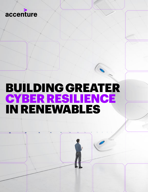

# BUILDING GREATER CYBER RESILIENCE IN RENEWABLES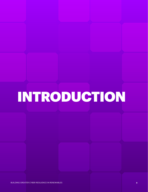# INTRODUCTION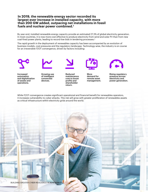## **In 2019, the renewable energy sector recorded its largest ever increase in installed capacity, with more than 200 GW added, outpacing net installations in fossil fuels and nuclear power combined.1**

By year end, installed renewable energy capacity provide an estimated 27.3% of global electricity generation. In most countries, it is now more cost effective to produce electricity from wind and solar PV than from new coal-fired power plants, leading to record-low bids in tendering processes.<sup>2</sup>

The rapid growth in the deployment of renewables capacity has been accompanied by an evolution of business models, cost pressures and the regulatory landscape. Technology-wise, the industry is on course for an irreversible IT/OT convergence, driven by factors including:





Increased automation and digitalization of assets and operations.

Growing use of intelligent connected devices.



Reduced maintenance cost to boost profits and shareholder return.



More demand for remote asset management.



Rising regulatory pressure across electricity and power generation.

While IT/OT convergence creates significant operational and financial benefit for renewables operators, it increases vulnerability to cyber attacks. This risk will grow with greater proliferation of renewables assets as critical infrastructure within electricity grids around the world.

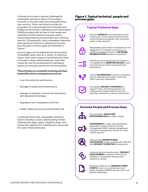Cybersecurity poses a serious challenge for renewables operators. Many of the systems currently in use were built prioritizing efficiency over security. Other risk factors include the ecosystem of original equipment manufacturers (OEMs) and third-party operations and maintenance (O&M) providers with access to their assets and networks and the manual processes used in onboarding these service providers and checking permits. Consequently, many renewables operators have significant technical, people and process security gaps; common gaps are illustrated in Figure 1.

Security gaps can be exploited across the entire renewables value chain by a variety of malicious actors, from nation states to hacktivists and cyber criminals to disgruntled employees. Gaps also create the risk of unintentional but damaging actions by company personnel and third parties.

#### **These threats are constantly evolving and have potentially severe consequences such as:**

- Loss of production and revenue.
- Damage to assets and infrastructure.
- Leakage of sensitive commercial information and reputational damage.
- Regulatory non-compliance and fines.
- Health, safety and environmental (HSE) risk.

To alleviate these risks, renewables operators need to develop a clear understanding of their cybersecurity gaps, apply mitigation steps, and evolve their approach to cybersecurity along with the cyber threat landscape.

### **Figure 1. Typical technical, people and process gaps.**

![](_page_3_Figure_10.jpeg)

## **Common People and Process Gaps**

![](_page_3_Picture_12.jpeg)

Accountability, **ROLES AND RESPONSIBILITIES** are often unclear.

![](_page_3_Picture_14.jpeg)

**GOVERNANCE** is rarely well established, especially in areas of identity access management (IAM), change management, and patch management, and do not often involve security.

![](_page_3_Picture_16.jpeg)

There are often **GENERATIONAL SUCCESSION** issues, coupled with staff that lack **SECURITY EXPERTISE** (limited pool).

![](_page_3_Picture_18.jpeg)

Industrial device manufacturers' **PRODUCT DEVELOPMENT** processes often do not address or incorporate cybersecurity qualities or values.

![](_page_3_Picture_20.jpeg)

Response plans do not **ADDRESS CYBER EVENTS**; focus is on maintenance and repair operations (MRO), but security is not directly addressed.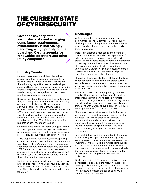# THE CURRENT STATE OF CYBERSECURITY

**Given the severity of the associated risks and emerging compliance requirements, cybersecurity is increasingly becoming a high priority on the board and C-suite agenda for renewables operators and other utility companies.**

## Industry Trends

Renewables operators and the wider industry are realizing the criticality of cybersecurity in holistic asset resilience. Incident response and threat-hunting capabilities are being developed to safeguard business readiness for potential security events. Companies without in-house capabilities are also taking on managed security services to run their cybersecurity operations.

Research conducted by Accenture Security shows that, on average, utilities companies are improving on cybersecurity basics.3 The companies surveyed—across all industries, including utilities—had an 11% reduction in direct attacks and a 27% reduction in security breaches over the past year. There has also been significant innovation investment, with 94% of utilities respondents spending more than 20% of their cybersecurity budgets on advanced technologies.

Common areas of investment include governance and management, asset management and inventory, network segmentation, remote access, backup and restore, cloud security and security monitoring.

While progress has been made, there is growing concern about the rise of indirect attacks targeting weak links in utilities' supply chains. These attacks accounted for 39% of the cybersecurity breaches in 2019.3 Additionally, the cost of staying ahead of attackers is rising at unsustainable levels, and 77% of utilities say they do not see adequate return on their cybersecurity investments.4

Inadequate returns are evident in the low detection rates of breaches—only 56% are found by security teams, and in the long business impact, with only 12% of breaches having an impact lasting less than 24 hours.<sup>5</sup>

## **Challenges**

While renewables operators are increasing commitment to and investment in cybersecurity, challenges remain that prevent security operations teams from keeping pace with the evolving cyber threat landscape.

Increase in electronic monitoring and control of utility-scale renewables and in the deployment of edge devices creates new entry points for cyber attacks on renewables assets. In solar, wider adoption of two-way communication smart inverters without strong communication standards introduces vulnerability. Likewise, weak cybersecurity controls on sensors and wind turbines leave wind power operators open to new cyber threats.

The rise of the industrial internet of things (IIoT) and hyper-connectivity means that the attack surface available to malicious actors is constantly growing, while asset discovery and cyber visibility is becoming more complex.

Renewables assets are geographically dispersed, mostly left unmanned, and have a workforce that often includes multiple third parties in remote locations. The large ecosystem of third-party service providers with network access poses a challenge as they, along with OEMs and suppliers, can introduce security weak links for attackers to exploit.

There are many security tools available that are not well integrated, are inflexible and become quickly outdated. These tools often have complex, labor-intensive installation and maintenance processes. They generate high volumes of data lacking in context and prioritization, requiring time-consuming investigation to extract useful intelligence.

Technical difficulties are exacerbated by the global talent shortage of operational technology (OT) security experts, due to simultaneous cross-industry investment in the area. This is further compounded by distrust and lack of communication between IT operations and the business, which can often lead to the information security team not being included when discussions begin on new operational initiatives.

Finally, increasing IT/OT convergence is exposing considerable disparity in the maturity levels of IT security and OT security in most companies. This is an area of concern as the automation of renewables infrastructure increases the stakes at play with potential security breaches.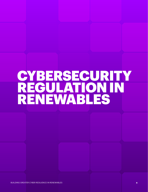# **CYBERSECURITY** REGULATION IN RENEWABLES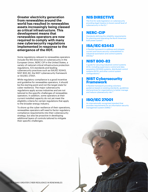**Greater electricity generation from renewables around the world has resulted in renewables assets increasingly being classed as critical infrastructure. This development means that renewables operators are now required to comply with many new cybersecurity regulations implemented in response to the emergence of the IIOT.**

Some regulations relevant to renewables operators include the NIS Directive on cybersecurity in the European Union, NERC CIP in the United States, a variety of national critical infrastructure protection regulations, ICS standards and leading cybersecurity practices such as ISA/IEC 62443, NIST 800-82, the NIST cybersecurity framework or ISO/IEC 27001.

While regulatory compliance is a good incentive and guideline for renewables operators, it should be the starting point and not the target state for cyber resilience. The major cybersecurity regulations apply across industries and are not tailored to the specific challenges of renewables operators. In addition, some operators at their current installed capacity do not yet meet the eligibility criteria for certain regulations that apply to the broader energy industry.

To shore up the cyber resilience of their operations, renewables operators will need to factor regulatory compliance requirements into their cybersecurity strategy, but also be proactive in developing additional layers of controls tailored to mitigate their specific challenges.

# NIS DIRECTIVE

The first EU-wide legislation on cybersecurity providing legal impetus to boost overall level of cybersecurity in the EU.6

# NERC-CIP

Standards defining the reliability requirements for planning and operating the North American bulk power system.7

# ISA/IEC 62443

A flexible framework to address and mitigate current and future security vulnerabilities in industrial automation and control systems (IACSs).8

# NIST 800-82

A guide for securing industrial control systems (ICS), including supervisory control and data acquisition (SCADA) systems, distributed control systems (DCS), and other control system configurations.9

# NIST Cybersecurity Framework

A flexible framework providing voluntary guidance based on existing standards, guidelines and practices for organizations to better manage and reduce cybersecurity risk.<sup>10</sup>

# ISO/IEC 27001

An internationally recognized standard that provides requirements for an information security management system (ISMS).<sup>11</sup>

![](_page_6_Picture_16.jpeg)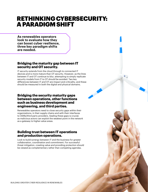# RETHINKING CYBERSECURITY: A PARADIGM SHIFT

**As renewables operators look to evaluate how they can boost cyber resilience, three key paradigm shifts are needed.**

# **Bridging the maturity gap between IT security and OT security.**

IT security extends from the cloud through to connected IT devices and is more mature than OT security. However, as the lines between IT and OT continue to blur, attempting to simply replicate security models from IT to OT should be avoided. Two key differences between IT and OT are impact and criticality, and these should be measured in both the digital and physical domains.

## **Bridging the security maturity gaps between operations, other functions such as business development and engineering, and third parties.**

Renewables operators need to close security gaps within their organizations, in their supply chains and with their interfaces to OEMs/third party providers. Sealing these gaps is crucial, as malicious actors can exploit the weakest point in the network as a gateway to higher-value areas.

# **Building trust between IT operations and production operations.**

Look to build synergy between IT and the business for greater collaboration, coordination and commitment. For successful threat mitigation, creating value and providing protection should be viewed as complementary rather than competing agendas.

8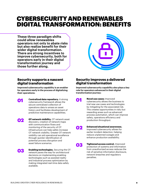# CYBERSECURITY AND RENEWABLES DIGITAL TRANSFORMATION: BENEFITS

**These three paradigm shifts could allow renewables operators not only to abate risks but also realize benefit for their wider digital transformation. There are strong incentives to improve cybersecurity, both for operators early in their digital transformation journey and those further along.** 

![](_page_8_Picture_2.jpeg)

## **Security supports a nascent digital transformation**

**Improved cybersecurity capability is an enabler for operators early in the process of digitalizing their operations:**

> **Centralized data repository.** A strong cybersecurity framework allows the secure centralized collection of operations data to amass an asset history and facilitates development of predictive maintenance capabilities.

02 **OT network visibility.** OT network asset discovery, creation of network maps with communication flows and monitoring of the security of OT infrastructure can help safely increase OT network visibility. Greater OT network visibility can aid operational excellence through quicker identification of potential process disruption and asset failure scenarios.

![](_page_8_Picture_7.jpeg)

01

**Enabling technologies.** Securing the OT network paves the way for architectural decisions on implementing enabling technologies such as assisted reality and industrial process optimization by making integrated real-time data safely available.

# **Security improves a delivered digital transformation**

**Improved cybersecurity capability also plays a key role for operators advanced in their digital transformation journey:** 

> **Novel use cases:** Improved cybersecurity allows the business to trial new use cases and technologies by mitigating for the associated risk. This creates opportunities in risky but rewarding areas such as advanced process automation, which can improve safety, operations efficiency and production throughput.

02

 $\mathbf{0}$ 

**Enhanced situational awareness.** Improved cybersecurity allows for earlier incident detection, helping reduce unplanned outages and enhance production availability.

03 **Tightened access control.** Improved protection of systems and information from unauthorized access reduces the risk of sensitive information disclosure, network breaches and regulatory penalties.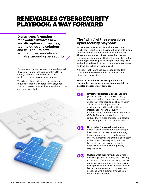# RENEWABLES CYBERSECURITY PLAYBOOK: A WAY FORWARD

**Digital transformation in renewables involves new and disruptive approaches, technologies and solutions, and will require new architectures, models and thinking around cybersecurity.** 

For sustained growth, operators should embed the security gene in the renewables DNA to strengthen the cyber resilience of their business, operations and infrastructure.

This vision of embedding the security gene requires creating a "cybersecurity playbook." The next two sections explore what this involves and how to apply it.

![](_page_9_Picture_4.jpeg)

Accenture's most recent Annual State of Cyber Resilience Report for Utilities identified an elite group of organizations outperforming in cybersecurity. These leaders are four-times better than the rest of the industry at stopping attacks. They are also better at finding breaches quickly, fixing breaches quickly and reducing breach impact (four-times, three-times and two-times better, respectively).

A deeper look into these cybersecurity leaders revealed three key differentiators that set them above the competition.

**These differentiators provide guidance for renewables operators on what they should do to develop greater cyber resilience.**

- **Invest for operational speed:** Leaders prioritize speed of breach detection, recovery and response, and measure the success of their resiliency. They invest in advanced technologies such as a next-generation firewall, artificial intelligence (AI), and Security Orchestration, Automation and Response (SOAR). These technologies can help reduce the number of successful attacks and the impact and cost of breaches.
- **Drive value from new investments:** Leaders scale their security technology investments: they are better at training their personnel and they collaborate more with internal and external ecosystem stakeholders. Consequently, they are better at discovering and defending attacks and aligning with regulatory requirements.
- 03

02

01

**Sustain what they have:** Leaders focus more budget on sustaining their existing core capabilities while the rest of the pack place a greater emphasis on piloting and scaling new capabilities. Leaders perform better on fundamental data protection practices, with a greater emphasis on data-centric security.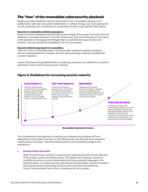# The "how" of the renewables cybersecurity playbook

Building up cyber resilience requires direct action from renewables operators and collaboration with their ecosystem stakeholders. To effect change, two main approaches can be employed, but a simultaneous combination of both could yield the best results.

#### **Security in renewables initiatives/projects.**

Security must be assessed and prioritized at every stage of the project lifecycle and in all initiatives or business solutions. From the construction and commissioning of new plants to the adoption of emerging technologies like AI, machine learning and advanced analytics, security should be embedded in all of the processes.

#### **Security initiatives/projects in renewables.**

"Secure" is not an achievable state. Improving cyber resilience requires a program with an evolving playbook of people, process and technology initiatives coupled with constant vigilance.

Figure 2 illustrates key guidelines when considering cybersecurity initiatives to transform operations culture and increase security maturity.

## **Figure 2: Guidelines for increasing security maturity.**

#### GAIN VISIBILITY

**Renewables Security Maturity**

Renewables Security Maturity

Discover what devices connect to your renewables plants control networks and their effect on the production process to detect and contextualize access, unauthorized or not.

#### USE YOUR INSIGHTS IMPLEMENT

Know your production process risks: control how and where technologies are used, and who can use them. Focus on what matters to the production process.

#### Implement and review security checklists, regularly test security defenses and exercise breach detection and containment plans for critical industrial processes.

TUNE AND OPTIMIZE

Constantly measure and evolve cyber resiliency controls against leading practices and emerging threats. Measure the efficacy of cybersecurity controls in the protection of the production process itself, not the protection of technologies.

**Renewables Operations Culture**

The considerations and approach to setting up a cybersecurity program will vary depending on the project scenario. In the following text, we illustrate three scenarios: constructing a new plant, operating existing plants, and completing mergers and acquisitions.

#### **Constructing a new plant.**

When constructing a new plant, cybersecurity needs be factored into the lifecycle of the project, assets and infrastructure. This begins with creating a reference model/architecture, security requirements and a procurement language in the planning phase. It involves security assessments during design, security evaluation during procurement and testing during construction and commissioning. Figure 3 demonstrates how to factor cybersecurity into a project.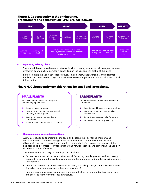### **Figure 3. Cybersecurity in the engineering, procurement and construction (EPC) project lifecycle.**

![](_page_11_Figure_1.jpeg)

#### **Operating existing plants.**

There are different considerations to factor in when creating a cybersecurity program for plants already in operation by a company, depending on the size and risk profile of the plant.

Figure 4 details the approaches for relatively small plants with low financial and customer implications, compared to large plants with more severe implications or plants that are critical infrastructure.

## **Figure 4. Cybersecurity considerations for small and large plants.**

## SMALL PLANTS EXAMPLE THE LARGE PLANTS

Be brilliant at the basics, securing and remediating highest risks

- $\bullet$ Establish baseline security
- Security activities for preventing and reducing attack impacts
- Security by design, embedded in operations
- Inventory and vulnerability assessment

Increase visibility, resilience and defense automation

- Inventory and business impact analysis
- Risk assessment and vulnerability assessment
- Security remediations plan/program
- Increase cybersecurity visibility G

#### **Completing mergers and acquisitions.**

As many renewables operators look to scale and expand their portfolios, mergers and acquisitions are a common strategy of choice. It is crucial to embed cybersecurity due diligence in the deal process. Understanding the standard of cybersecurity controls of the business to be integrated is key for safeguarding network security and preventing the addition of potential points of failure.

The main elements to carry out in this process include:

- Develop a cybersecurity evaluation framework (including people, process and technology perspectives) comprehensively covering corporate, operations and regulatory cybersecurity requirements.
- Conduct cybersecurity health assessments during the selling, merger or acquisition phases (including cyber-regulatory compliance assessments).
- Conduct vulnerability assessment and penetration testing on identified critical processes and assets to identify overall security posture.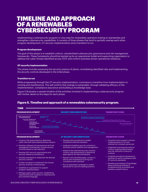# TIMELINE AND APPROACH OF A RENEWABLES CYBERSECURITY PROGRAM

Implementing a cybersecurity program is a key step for renewables operators looking to standardize and strengthen cybersecurity capabilities. It consists of three phases that tend to partially overlap each other: program development, OT security implementation and a transition to run.

#### **Program development**

The goal of this phase is to establish uniform, standardized cybersecurity governance and risk management frameworks. These frameworks should be backed up by an operational model and supporting organization to address the cyber threats identified across IT/OT and confirm business-driven operational resilience.

#### **OT security implementation**

This phase includes assessing the security posture of plants, remediating identified risks and implementing the security controls developed in the initial phase.

#### **Transition to run**

While progressing through the OT security implementation, commence a transition from implementation to running and maintenance. This will confirm that change is sustainable, through validating efficacy of the implementation, compliance assurance and building a knowledge base.

Figure 5 illustrates a sample timeline of the activities involved in implementing a cybersecurity program, with further detail on the steps for each phase.

## **Figure 5. Timeline and approach of a renewables cybersecurity program.**

![](_page_12_Figure_10.jpeg)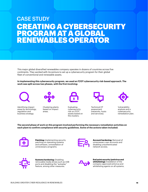# CREATING A CYBERSECURITY PROGRAM AT A GLOBAL RENEWABLES OPERATOR CASE STUDY

This major global diversified renewables company operates in dozens of countries across five continents. They worked with Accenture to set up a cybersecurity program for their global fleet of conventional and renewable assets.

**In implementing this cybersecurity program, we used an IT/OT cybersecurity risk-based approach. The work was split across two phases, with the first involving:**

![](_page_13_Picture_3.jpeg)

Identifying impact areas by technology, regulation and business strategy.

![](_page_13_Picture_5.jpeg)

Clustering plants based on impact areas.

![](_page_13_Picture_7.jpeg)

Evaluating cybersecurity risk on IT/OT assets based on the clusters.

![](_page_13_Picture_9.jpeg)

Technical OT assessment (networks, hosts and services).

![](_page_13_Picture_11.jpeg)

Vulnerability analysis and a cybersecurity remediation plan.

**The second phase of work on this program involved performing the necessary remediation activities on each plant to confirm compliance with security guidelines. Some of the actions taken included:**

![](_page_13_Picture_14.jpeg)

**Patching: Implementing security** patching on operating systems and software, uninstallation of unnecessary programs.

![](_page_13_Picture_16.jpeg)

**Account hardening:** Removal of unnecessary user accounts and disabling unauthenticated network access.

![](_page_13_Picture_18.jpeg)

**Systems hardening:** Disabling removable media drives such as USB ports and disabling the "autoplay" feature, among other measures.

![](_page_13_Picture_20.jpeg)

**End point security (antivirus and whitelisting):** Installation of the company-approved antivirus and whitelisting agents on all systems.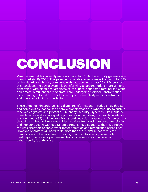# **CONCLUSION**

Variable renewables currently make up more than 20% of electricity generation in many markets. By 2030, Europe expects variable renewables will account for 54% of the electricity mix and, combined with hydropower, almost 70%.<sup>12</sup> To support this transition, the power system is transforming to accommodate more variable generation, with plants that are fleets of intelligent, connected rotating and static equipment. Simultaneously, operators are undergoing a digital transformation, incorporating automation, robotics and hyper-connectivity in the construction and operation of wind and solar farms.

These ongoing infrastructural and digital transformations introduce new threats and complexities that call for a parallel transformation in cybersecurity to sustain renewables growth and protect future energy security. Cybersecurity should be considered as vital as data quality processes in plant design or health, safety and environment (HSE) and fault monitoring and analysis in operations. Cybersecurity should be embedded into renewables activities from design to decommissioning and into contracting with ecosystem partners. Regulations like the NIS directive requires operators to show cyber threat detection and remediation capabilities. However, operators will need to do more than the minimum necessary for compliance and be proactive in creating their own tailored cybersecurity roadmaps. The resiliency of renewables is more important than ever, and cybersecurity is at the core.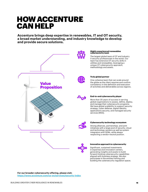# HOW ACCENTURE CAN HELP

**Accenture brings deep expertise in renewables, IT and OT security, a broad market understanding, and industry knowledge to develop and provide secure solutions.**

![](_page_15_Picture_2.jpeg)

#### **Highly experienced renewables cybersecurity team**

The largest global team of OT and Industry X security professionals in the world. Our team has extensive OT security skills in utilities and renewables, leveraging a unique OT cybersecurity approach, methodology and assets.

![](_page_15_Picture_5.jpeg)

#### **Truly global partner**

One cohesive team that can scale around the globe as the client requires and confirm consistency in the definition and execution of activities and deliverables across regions.

![](_page_15_Picture_8.jpeg)

#### **End-to-end cybersecurity player**

More than 20 years of success in serving global organizations to assess, define, deploy, and manage their cybersecurity programs. We have global scalability to support security strategy, cyber defense, digital identity, applications security, and managed security services (MSS).

![](_page_15_Figure_11.jpeg)

#### **Cybersecurity technology ecosystem**

Strong alliances, partnerships, and joint initiatives with a large pool of security, cloud and technology vendors as well as system integrators and OEMs, while always respecting a vendor-neutral position.

![](_page_15_Picture_14.jpeg)

#### **Innovative approach to cybersecurity**

Significant, sustained investments in expertise and innovation centers, generating insights and assets to build forward-looking cybersecurity capabilities aligned with business strategy. We also participate in the entities framing and building the cybersecurity regulation space.

**For our broader cybersecurity offering, please visit: <https://www.accenture.com/us-en/services/security-index>**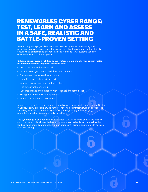# RENEWABLES CYBER RANGE: TEST, LEARN AND ASSESS IN A SAFE, REALISTIC AND BATTLE-PROVEN SETTING

A cyber range is a physical environment used for cyberwarfare training and cybertechnology development. It provides tools that help strengthen the stability, security and performance of cyber infrastructure and IT/OT systems used by governments and military agencies.

#### **Cyber ranges provide a risk-free security stress-testing facility with much faster threat detection and response. They can help:**

- Assimilate new tools without risk.
- Learn in a recognizable, scaled-down environment.
- Orchestrate diverse vendors and tools.
- Learn from external security experts.
- Improve anomaly and endpoint protection.
- Fine-tune event monitoring.
- Fuse intelligence and detection with response and remediation.
- Strengthen credentials management.
- Improve maintenance and upkeep.

Accenture has built a first of its kind renewables cyber range at our Innovation Center in Bilbao, Spain. It models a wide range of renewables infrastructure and processes including wind and solar farms, substations, energy storage, EV charging, office/headquarters simulation and a smart city.

The cyber range is equipped with a complete SCADA system to control the models and it tracks and visualizes all relevant parameters on a dashboard. It also has the leading-edge security architecture and cybersecurity protection systems to be used in stress-testing.